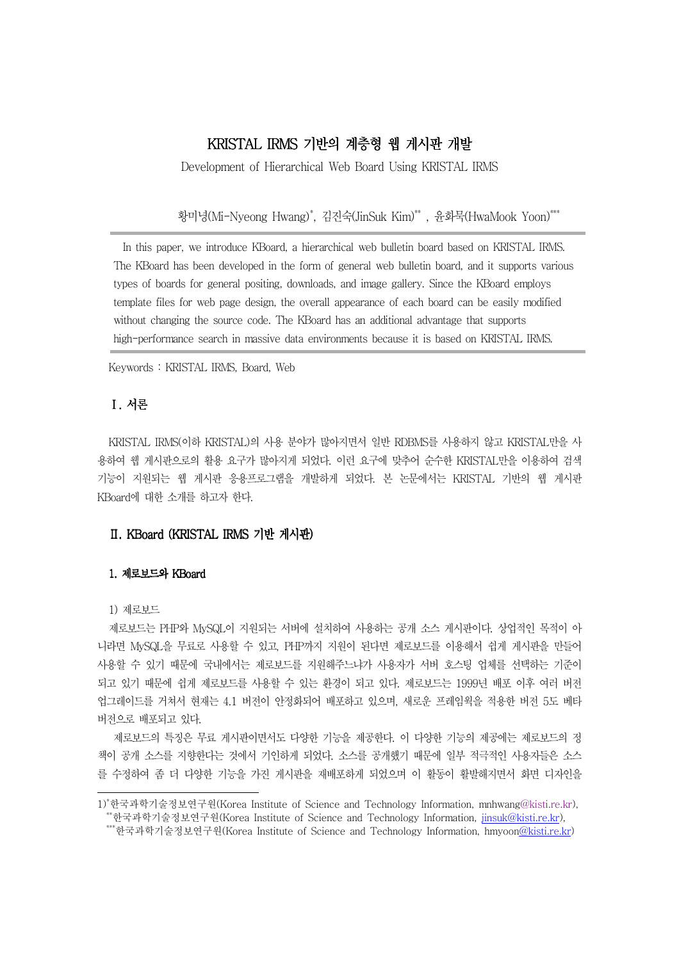# KRISTAL IRMS 기반의 계층형 웹 게시판 개발

Development of Hierarchical Web Board Using KRISTAL IRMS

황미녕(Mi-Nyeong Hwang)\*, 김진숙(JinSuk Kim)\*\* , 윤화묵(HwaMook Yoon)\*\*\*

In this paper, we introduce KBoard, a hierarchical web bulletin board based on KRISTAL IRMS. The KBoard has been developed in the form of general web bulletin board, and it supports various types of boards for general positing, downloads, and image gallery. Since the KBoard employs template files for web page design, the overall appearance of each board can be easily modified without changing the source code. The KBoard has an additional advantage that supports high-performance search in massive data environments because it is based on KRISTAL IRMS.

Keywords : KRISTAL IRMS, Board, Web

## Ⅰ. 서론

KRISTAL IRMS(이하 KRISTAL)의 사용 분야가 많아지면서 일반 RDBMS를 사용하지 않고 KRISTAL만을 사 용하여 웹 게시판으로의 활용 요구가 많아지게 되었다. 이런 요구에 맞추어 수수한 KRISTAL만을 이용하여 검색 기능이 지원되는 웹 게시판 응용프로그램을 개발하게 되었다. 본 논문에서는 KRISTAL 기반의 웹 게시판 KBoard에 대한 소개를 하고자 한다.

## Ⅱ. KBoard (KRISTAL IRMS ) 기반 게시판

#### 1. 제로보드와 KBoard

#### 1) 제로보드

제로보드는 PHP와 MySQL이 지원되는 서버에 설치하여 사용하는 공개 소스 게시판이다. 상업적인 목적이 아 니라면 MySQL을 무료로 사용할 수 있고, PHP까지 지워이 된다면 제로보드를 이용해서 쉽게 게시판을 만들어 사용할 수 있기 때문에 국내에서는 제로보드를 지원해주느냐가 사용자가 서버 호스팅 업체를 선택하는 기준이 되고 있기 때문에 쉽게 제로보드를 사용할 수 있는 환경이 되고 있다. 제로보드는 1999년 배포 이후 여러 버전 업그레이드를 거쳐서 현재는 4.1 버전이 안정화되어 배포하고 있으며, 새로운 프레임웍을 적용한 버전 5도 베타 버전으로 배포되고 있다.

제로보드의 특징은 무료 게시판이면서도 다양한 기능을 제공한다. 이 다양한 기능의 제공에는 제로보드의 정 책이 공개 소스를 지향한다는 것에서 기인하게 되었다 소스를 공개했기 때문에 일부 적극적인 사용자들은 소스 . 를 수정하여 좀 더 다양한 기능을 가진 게시판을 재배포하게 되었으며 이 활동이 활발해지면서 화면 디자인을

<sup>1)</sup>\*한국과학기술정보연구원(Korea Institute of Science and Technology Information, mnhwang@kisti.re.kr), \*\*한국과학기술정보연구원(Korea Institute of Science and Technology Information, jinsuk@kisti.re.kr), \*\*\*한국과학기술정보연구원(Korea Institute of Science and Technology Information, hmyoon@kisti.re.kr)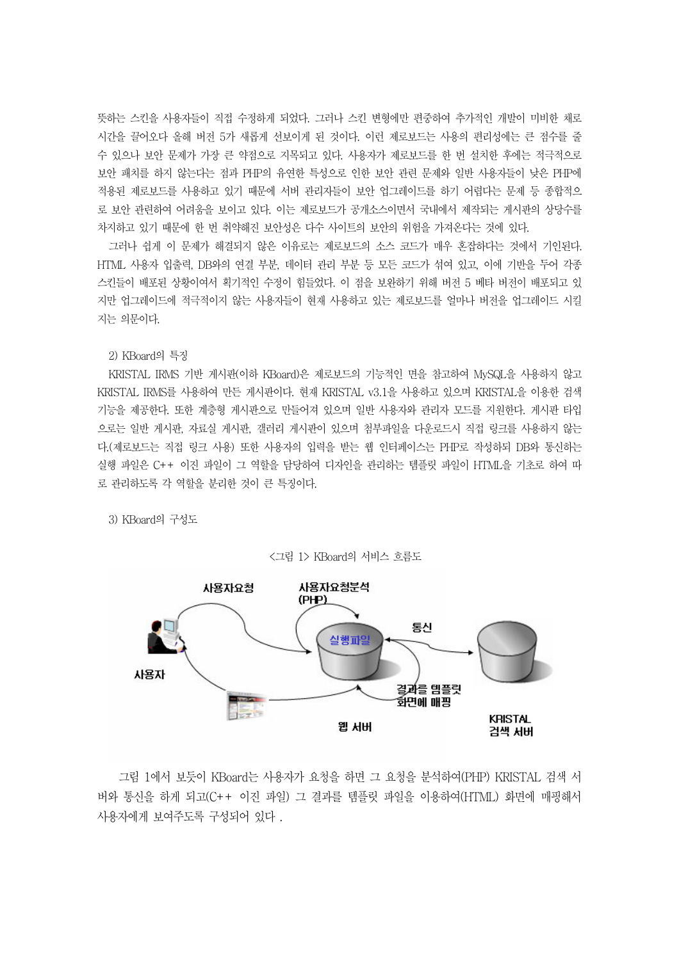뜻하는 스킨을 사용자들이 직접 수정하게 되었다. 그러나 스킨 변형에만 편중하여 추가적인 개발이 미비한 채로 시간을 끌어오다 올해 버전 5가 새롭게 선보이게 된 것이다. 이런 제로보드는 사용의 편리성에는 큰 점수를 줄 수 있으나 보안 문제가 가장 큰 약점으로 지목되고 있다 사용자가 제로보드를 한 번 설치한 후에는 적극적으로 . 보안 패치를 하지 않는다는 점과 PHP의 유연한 특성으로 인한 보안 관련 문제와 일반 사용자들이 낮은 PHP에 적용된 제로보드를 사용하고 있기 때문에 서버 관리자들이 보안 업그레이드를 하기 어렵다는 문제 등 종합적으 로 보안 관련하여 어려움을 보이고 있다. 이는 제로보드가 공개소스이면서 국내에서 제작되는 게시판의 상당수를 차지하고 있기 때문에 한 번 취약해진 보안성은 다수 사이트의 보안의 위험을 가져온다는 것에 있다.

그러나 쉽게 이 문제가 해결되지 않은 이유로는 제로보드의 소스 코드가 매우 혼잡하다는 것에서 기인된다. HTML 사용자 입출력, DB와의 연결 부분, 데이터 관리 부분 등 모든 코드가 섞여 있고, 이에 기반을 두어 각종 스킨들이 배포된 상황이여서 획기적인 수정이 힘들었다. 이 점을 보완하기 위해 버전 5 베타 버전이 배포되고 있 지만 업그레이드에 적극적이지 않는 사용자들이 현재 사용하고 있는 제로보드를 얼마나 버전을 업그레이드 시킬 지는 의문이다.

2) KBoard의 특징

KRISTAL IRMS 기반 게시판(이하 KBoard)은 제로보드의 기능적인 면을 참고하여 MySQL을 사용하지 않고 KRISTAL IRMS를 사용하여 만든 게시판이다. 현재 KRISTAL v3.1을 사용하고 있으며 KRISTAL을 이용한 검색 기능을 제공한다. 또한 계층형 게시판으로 만들어져 있으며 일반 사용자와 관리자 모드를 지원한다. 게시판 타입 으로는 일반 게시판, 자료실 게시판, 갤러리 게시판이 있으며 첨부파일을 다운로드시 직접 링크를 사용하지 않는 다. (제로보드는 직접 링크 사용) 또한 사용자의 입력을 받는 웹 인터페이스는 PHP로 작성하되 DB와 통신하는 실행 파일은 C++ 이진 파일이 그 역할을 담당하여 디자인을 관리하는 템플릿 파일이 HTML을 기초로 하여 따 로 관리하도록 각 역할을 분리한 것이 큰 특징이다.

3) KBoard의 구성도



그림 1에서 보듯이 KBoard는 사용자가 요청을 하면 그 요청을 분석하여 (PHP) KRISTAL 검색 서 버와 통신을 하게 되고(C++ 이진 파일) 그 결과를 템플릿 파일을 이용하여(HTML) 화면에 매핑해서 사용자에게 보여주도록 구성되어 있다 .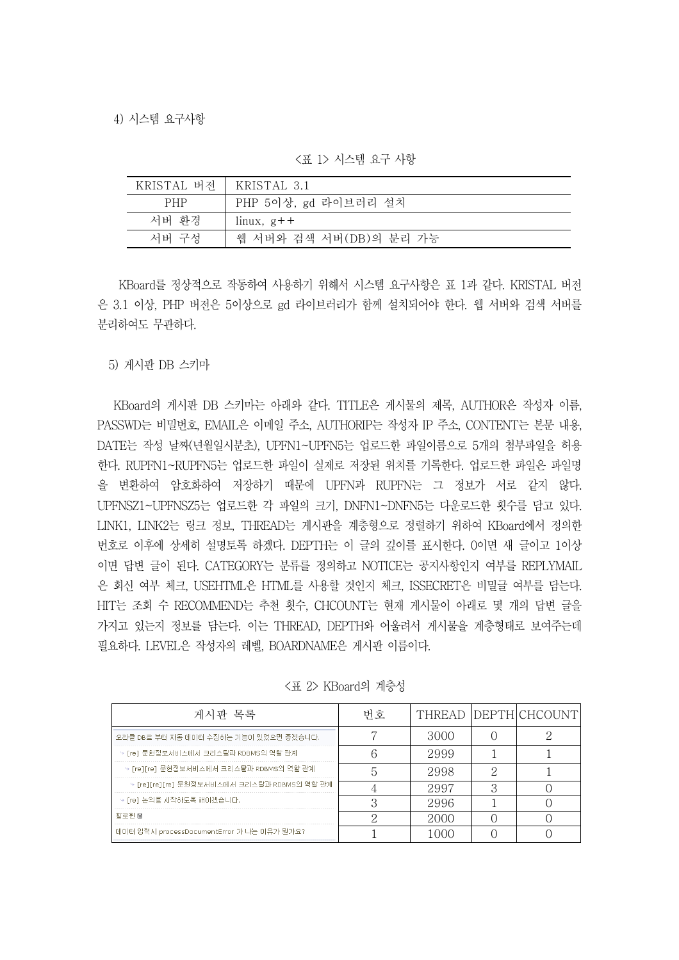| KRISTAL 버전   KRISTAL 3.1 |                          |
|--------------------------|--------------------------|
| <b>PHP</b>               | PHP 5이상, gd 라이브러리 설치     |
| 서버 화경                    | $\lim_{x \to 0} x, g$ ++ |
| 서버 구성                    | 웹 서버와 검색 서버(DB)의 분리 가능   |

< 1> 표 시스템 요구 사항

KBoard를 정상적으로 작동하여 사용하기 위해서 시스템 요구사항은 표 1과 같다. KRISTAL 버전 은 3.1 이상, PHP 버전은 5이상으로 gd 라이브러리가 함께 설치되어야 한다. 웹 서버와 검색 서버를 분리하여도 무관하다.

5) 게시판 DB 스키마

KBoard의 게시판 DB 스키마는 아래와 같다. TITLE은 게시물의 제목, AUTHOR은 작성자 이름, PASSWD는 비밀번호, EMAIL은 이메일 주소, AUTHORIP는 작성자 IP 주소, CONTENT는 본문 내용, DATE는 작성 날짜(녀월일시부초), UPFN1~UPFN5는 업로드한 파일이름으로 5개의 첨부파일을 허용 한다. RUPFN1~RUPFN5는 업로드한 파일이 실제로 저장된 위치를 기록한다. 업로드한 파일은 파일명 을 변환하여 암호화하여 저장하기 때문에 UPFN과 RUPFN는 그 정보가 서로 같지 않다. UPFNSZ1~UPFNSZ5는 업로드한 각 파일의 크기, DNFN1~DNFN5는 다운로드한 횟수를 담고 있다. LINK1, LINK2는 링크 정보, THREAD는 게시판을 계층형으로 정렬하기 위하여 KBoard에서 정의한 번호로 이후에 상세히 설명토록 하겠다. DEPTH는 이 글의 깊이를 표시한다. 0이면 새 글이고 1이상 이면 답변 글이 된다. CATEGORY는 분류를 정의하고 NOTICE는 공지사항인지 여부를 REPLYMAIL 은 회신 여부 체크, USEHTML은 HTML를 사용할 것인지 체크, ISSECRET은 비밀글 여부를 담는다. HIT는 조회 수 RECOMMEND는 추천 횟수, CHCOUNT는 현재 게시물이 아래로 몇 개의 답변 글을 가지고 있는지 정보를 담는다. 이는 THREAD, DEPTH와 어울려서 게시물을 계층형태로 보여주는데 필요하다. LEVEL은 작성자의 레벨. BOARDNAME은 게시판 이름이다.

| 게시판 목록                                       | 번호 |      | THREAD IDEPTHICHCOUNTI |
|----------------------------------------------|----|------|------------------------|
| '오라클 DB로 부터 자동 데이터 수집하는 기능이 있었으면 좋겠습니다.      |    | 3000 |                        |
| → [re] 문헌정보서비스에서 크리스탈과 RDBMS의 역할 관계          |    | 2999 |                        |
| → [re][re] 문헌정보서비스에서 크리스탈과 RDBMS의 역할 관계.     |    | 2998 |                        |
| → [re][re][re] 문헌정보서비스에서 크리스탈과 RDBMS의 역할 관계. |    | 2997 |                        |
| → [re] 논의를 시작하도록 해야겠습니다.                     |    | 2996 |                        |
| 할로윈 圖                                        |    | 2000 |                        |
| 데이터 입력시 processDocumentError 가 나는 이유가 뭔가요?   |    |      |                        |

<표 2> KBoard의 계층성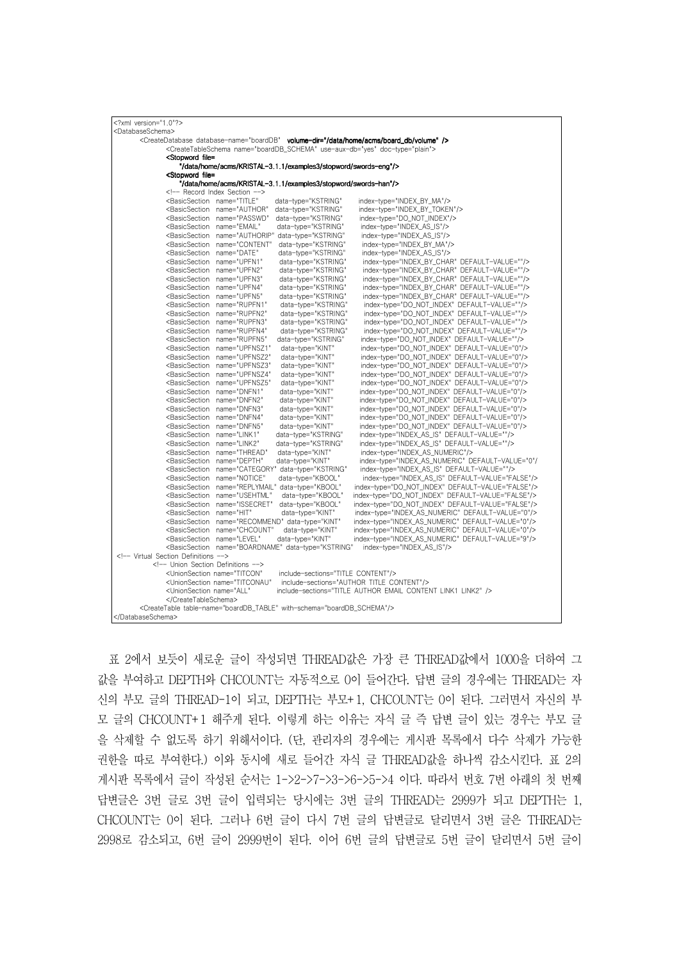| xml version="1.0"?                                                                                                                                                                      |                                                                                              |
|-----------------------------------------------------------------------------------------------------------------------------------------------------------------------------------------|----------------------------------------------------------------------------------------------|
| <databaseschema></databaseschema>                                                                                                                                                       |                                                                                              |
| <createdatabase database-name="boardDB" volume-dir="/data/home/acms/board_db/volume"></createdatabase>                                                                                  |                                                                                              |
| <createtableschema doc-type="plain" name="boardDB SCHEMA" use-aux-db="ves"></createtableschema>                                                                                         |                                                                                              |
| <stopword file="&lt;/td"><td></td></stopword>                                                                                                                                           |                                                                                              |
| "/data/home/acms/KRISTAL-3,1,1/examples3/stopword/swords-eng"/>                                                                                                                         |                                                                                              |
| <stopword file="&lt;/td"><td></td></stopword>                                                                                                                                           |                                                                                              |
| "/data/home/acms/KRISTAL-3.1.1/examples3/stopword/swords-han"/>                                                                                                                         |                                                                                              |
| Record Index Section                                                                                                                                                                    |                                                                                              |
| <basicsection <br="" name="TITLE">data-type="KSTRING"</basicsection>                                                                                                                    | index-type="INDEX_BY_MA"/>                                                                   |
| <basicsection <br="" name="AUTHOR">data-type="KSTRING"</basicsection>                                                                                                                   | index-type="INDEX_BY_TOKEN"/>                                                                |
| <basicsection <br="" name="PASSWD">data-type="KSTRING"</basicsection>                                                                                                                   | index-type="DO_NOT_INDEX"/>                                                                  |
| <basicsection <br="" name="EMAIL">data-type="KSTRING"</basicsection>                                                                                                                    | index-type="INDEX_AS_IS"/>                                                                   |
| <basicsection <br="" name="AUTHORIP">data-type="KSTRING"</basicsection>                                                                                                                 | index-type="INDEX_AS_IS"/>                                                                   |
| <basicsection <br="" name="CONTENT">data-type="KSTRING"</basicsection>                                                                                                                  | index-type="INDEX_BY_MA"/>                                                                   |
| <basicsection <br="" name="DATE">data-type="KSTRING"</basicsection>                                                                                                                     | index-type="INDEX_AS_IS"/>                                                                   |
| <basicsection <br="" name="UPFN1">data-type="KSTRING"</basicsection>                                                                                                                    | index-type="INDEX_BY_CHAR" DEFAULT-VALUE=""/>                                                |
| <basicsection <br="" name="UPFN2">data-type="KSTRING"</basicsection>                                                                                                                    | index-type="INDEX_BY_CHAR" DEFAULT-VALUE=""/>                                                |
| <basicsection <br="" name="UPFN3">data-type="KSTRING"</basicsection>                                                                                                                    | index-type="INDEX_BY_CHAR" DEFAULT-VALUE=""/>                                                |
| <basicsection <br="" name="UPFN4">data-type="KSTRING"<br/><basicsection <="" name="UPFN5" td=""><td>index-type="INDEX_BY_CHAR" DEFAULT-VALUE=""/&gt;</td></basicsection></basicsection> | index-type="INDEX_BY_CHAR" DEFAULT-VALUE=""/>                                                |
| data-type="KSTRING"                                                                                                                                                                     | index-type="INDEX_BY_CHAR" DEFAULT-VALUE=""/>                                                |
| <basicsection <br="" name="RUPFN1">data-type="KSTRING"<br/><basicsection <br="" name="RUPFN2">data-type="KSTRING"</basicsection></basicsection>                                         | index-type="DO_NOT_INDEX" DEFAULT-VALUE=""/><br>index-type="DO_NOT_INDEX" DEFAULT-VALUE=""/> |
| <basicsection <br="" name="RUPFN3">data-type="KSTRING"</basicsection>                                                                                                                   | index-type="DO_NOT_INDEX"_DEFAULT-VALUE=""/>                                                 |
| <basicsection <br="" name="RUPFN4">data-type="KSTRING"</basicsection>                                                                                                                   | index-type="DO_NOT_INDEX" DEFAULT-VALUE=""/>                                                 |
| <basicsection <br="" name="RUPFN5">data-type="KSTRING"</basicsection>                                                                                                                   | index-type="DO_NOT_INDEX" DEFAULT-VALUE=""/>                                                 |
| <basicsection <br="" name="UPFNSZ1">data-type="KINT"</basicsection>                                                                                                                     | index-type="DO_NOT_INDEX" DEFAULT-VALUE="0"/>                                                |
| <basicsection <br="" name="UPFNSZ2">data-type="KINT"</basicsection>                                                                                                                     | index-type="DO_NOT_INDEX" DEFAULT-VALUE="0"/>                                                |
| <basicsection <br="" name="UPFNSZ3">data-type="KINT"</basicsection>                                                                                                                     | index-type="DO_NOT_INDEX" DEFAULT-VALUE="0"/>                                                |
| <basicsection <br="" name="UPFNSZ4">data-type="KINT"</basicsection>                                                                                                                     | index-type="DO_NOT_INDEX" DEFAULT-VALUE="0"/>                                                |
| <basicsection <br="" name="UPFNSZ5">data-type="KINT"</basicsection>                                                                                                                     | index-type="DO_NOT_INDEX" DEFAULT-VALUE="0"/>                                                |
| <basicsection <br="" name="DNFN1">data-tvpe="KINT"</basicsection>                                                                                                                       | index-type="DO_NOT_INDEX"_DEFAULT-VALUE="0"/>                                                |
| <basicsection <br="" name="DNFN2">data-type="KINT"</basicsection>                                                                                                                       | index-type="DO_NOT_INDEX" DEFAULT-VALUE="0"/>                                                |
| <basicsection <br="" name="DNFN3">data-type="KINT"</basicsection>                                                                                                                       | index-type="DO_NOT_INDEX" DEFAULT-VALUE="0"/>                                                |
| <basicsection <br="" name="DNFN4">data-type="KINT"</basicsection>                                                                                                                       | index-type="DO_NOT_INDEX" DEFAULT-VALUE="0"/>                                                |
| <basicsection <br="" name="DNFN5">data-type="KINT"</basicsection>                                                                                                                       | index-type="DO_NOT_INDEX" DEFAULT-VALUE="0"/>                                                |
| <basicsection <br="" name="LINK1">data-type="KSTRING"</basicsection>                                                                                                                    | index-type="INDEX_AS_IS" DEFAULT-VALUE=""/>                                                  |
| <basicsection <br="" name="LINK2">data-type="KSTRING"</basicsection>                                                                                                                    | index-type="INDEX_AS_IS" DEFAULT-VALUE=""/>                                                  |
| <basicsection <br="" name="THREAD">data-tvpe="KINT"</basicsection>                                                                                                                      | index-type="INDEX AS NUMERIC"/>                                                              |
| <basicsection <br="" name="DEPTH">data-tvpe="KINT"</basicsection>                                                                                                                       | index-type="INDEX_AS_NUMERIC"_DEFAULT-VALUE="0"/                                             |
| <basicsection <="" data-type="KSTRING" name="CATEGORY" td=""><td>index-type="INDEX_AS_IS" DEFAULT-VALUE=""/&gt;</td></basicsection>                                                     | index-type="INDEX_AS_IS" DEFAULT-VALUE=""/>                                                  |
| <basicsection <br="" name="NOTICE">data-type="KBOOL"</basicsection>                                                                                                                     | index-type="INDEX_AS_IS" DEFAULT-VALUE="FALSE"/>                                             |
| <basicsection <br="" name="REPLYMAIL">data-type="KBOOL"</basicsection>                                                                                                                  | index-type="DO_NOT_INDEX" DEFAULT-VALUE="FALSE"/>                                            |
| <basicsection <br="" name="USEHTML">data-type="KBOOL"</basicsection>                                                                                                                    | index-type="DO_NOT_INDEX" DEFAULT-VALUE="FALSE"/>                                            |
| <basicsection <br="" name="ISSECRET">data-type="KBOOL"</basicsection>                                                                                                                   | index-type="DO_NOT_INDEX" DEFAULT-VALUE="FALSE"/>                                            |
| <basicsection <br="" name="HIT">data-type="KINT"</basicsection>                                                                                                                         | index-type="INDEX_AS_NUMERIC" DEFAULT-VALUE="0"/>                                            |
| <basicsection <="" data-type="KINT" name="RECOMMEND" td=""><td>index-type="INDEX AS NUMERIC" DEFAULT-VALUE="0"/&gt;</td></basicsection>                                                 | index-type="INDEX AS NUMERIC" DEFAULT-VALUE="0"/>                                            |
| <basicsection <br="" name="CHCOUNT">data-type="KINT"</basicsection>                                                                                                                     | index-type="INDEX_AS_NUMERIC" DEFAULT-VALUE="0"/>                                            |
| <basicsection <br="" name="LEVEL">data-type="KINT"</basicsection>                                                                                                                       | index-type="INDEX_AS_NUMERIC" DEFAULT-VALUE="9"/>                                            |
| <basicsection <="" data-type="KSTRING" name="BOARDNAME" td=""><td>index-type="INDEX_AS_IS"/&gt;</td></basicsection>                                                                     | index-type="INDEX_AS_IS"/>                                                                   |
| Virtual Section Definitions<br>Union Section Definitions                                                                                                                                |                                                                                              |
| <unionsection <br="" name="TITCON">include-sections="TITLE_CONTENT"/&gt;</unionsection>                                                                                                 |                                                                                              |
|                                                                                                                                                                                         | include-sections="AUTHOR TITLE CONTENT"/>                                                    |
| <unionsection <br="" name="TITCONAU"><unionsection_name="all"< td=""><td>include-sections="TITLE AUTHOR EMAIL CONTENT LINK1 LINK2" /&gt;</td></unionsection_name="all"<></unionsection> | include-sections="TITLE AUTHOR EMAIL CONTENT LINK1 LINK2" />                                 |
|                                                                                                                                                                                         |                                                                                              |
| <createtable table-name="boardDB_TABLE" with-schema="boardDB_SCHEMA"></createtable>                                                                                                     |                                                                                              |
|                                                                                                                                                                                         |                                                                                              |

표 2에서 보듯이 새로운 글이 작성되면 THREAD값은 가장 큰 THREAD값에서 1000을 더하여 그 값을 부여하고 DEPTH와 CHCOUNT는 자동적으로 0이 들어간다. 답변 글의 경우에는 THREAD는 자 신의 부모 글의 THREAD-1이 되고, DEPTH는 부모+1, CHCOUNT는 0이 된다. 그러면서 자신의 부 모 글의 CHCOUNT+1 해주게 된다. 이렇게 하는 이유는 자식 글 즉 답변 글이 있는 경우는 부모 글 을 삭제할 수 없도록 하기 위해서이다. (단, 관리자의 경우에는 게시판 목록에서 다수 삭제가 가능한 권한을 따로 부여한다.) 이와 동시에 새로 들어간 자식 글 THREAD값을 하나씩 감소시킨다. 표 2의 게시판 목록에서 글이 작성된 순서는 1->2->7->3->6->5->4 이다. 따라서 번호 7번 아래의 첫 번째 답변글은 3번 글로 3번 글이 입력되는 당시에는 3번 글의 THREAD는 2999가 되고 DEPTH는 1, CHCOUNT는 0이 된다. 그러나 6번 글이 다시 7번 글의 답변글로 달리면서 3번 글은 THREAD는 2998로 감소되고, 6번 글이 2999번이 된다. 이어 6번 글의 답변글로 5번 글이 달리면서 5번 글이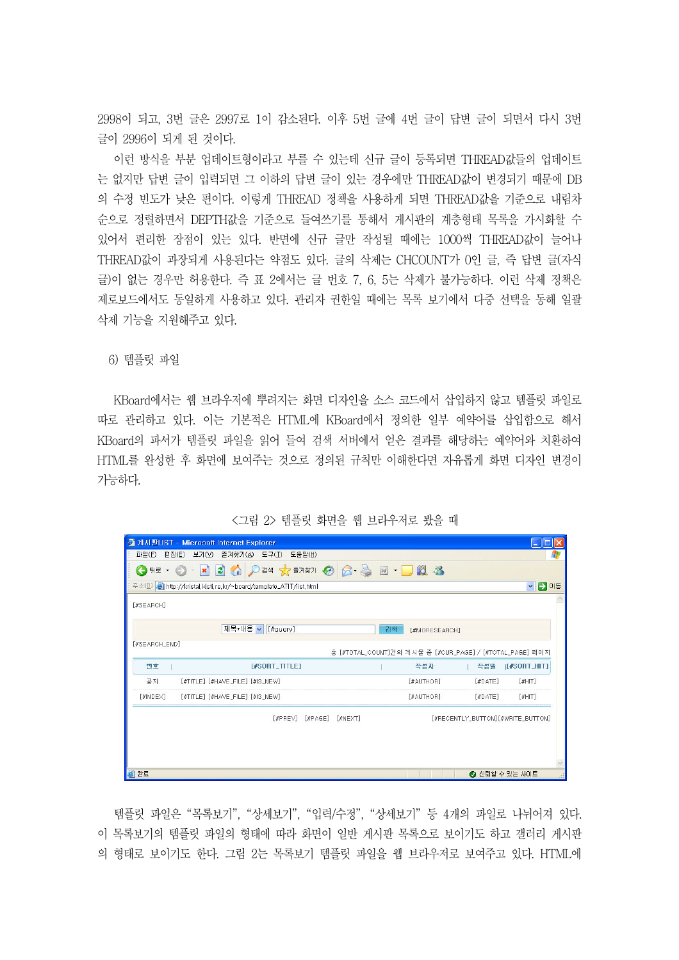2998이 되고, 3번 글은 2997로 1이 감소된다. 이후 5번 글에 4번 글이 답변 글이 되면서 다시 3번 글이 2996이 되게 된 것이다.

이런 방식을 부분 업데이트형이라고 부를 수 있는데 신규 글이 등록되면 THREAD값들의 업데이트 는 없지만 답변 글이 입력되면 그 이하의 답변 글이 있는 경우에만 THREAD값이 변경되기 때문에 DB 의 수정 빈도가 낮은 편이다. 이렇게 THREAD 정책을 사용하게 되면 THREAD값을 기준으로 내림차 순으로 정렬하면서 DEPTH값을 기준으로 들여쓰기를 통해서 게시판의 계층형태 목록을 가시화할 수 있어서 편리한 장점이 있는 있다. 반면에 신규 글만 작성될 때에는 1000씩 THREAD값이 늘어나 THREAD값이 과장되게 사용된다는 약점도 있다. 글의 삭제는 CHCOUNT가 0인 글, 즉 답변 글(자식 글)이 없는 경우만 허용한다. 즉 표 2에서는 글 번호 7, 6, 5는 삭제가 불가능하다. 이런 삭제 정책은 제로보드에서도 동일하게 사용하고 있다. 관리자 권한일 때에는 목록 보기에서 다중 선택을 동해 일괄 삭제 기능을 지원해주고 있다.

6) 템플릿 파일

KBoard에서는 웹 브라우저에 뿌려지는 화면 디자인을 소스 코드에서 삽입하지 않고 템플릿 파일로 따로 관리하고 있다. 이는 기본적은 HTML에 KBoard에서 정의한 일부 예약어를 삽입함으로 해서 KBoard의 파서가 템플릿 파일을 읽어 들여 검색 서버에서 얻은 결과를 해당하는 예약어와 치환하여 HTML를 완성한 후 화면에 보여주는 것으로 정의된 규칙만 이해한다면 자유롭게 화면 디자인 변경이 가능하다.

|                     | ○ 게시판LIST - Microsoft Internet Explorer                                    |         |         |    |               |                                                          |                                 |
|---------------------|----------------------------------------------------------------------------|---------|---------|----|---------------|----------------------------------------------------------|---------------------------------|
| 파일(F)<br>편집(E)      | 보기(V)<br>즐겨찾기( <u>A</u> )<br>도구(I)<br>도움말(H)                               |         |         |    |               |                                                          | ж                               |
| (→ 뒤로 →             | 2 公 024 大部知 2 3 画 - 3 名<br>$\vert x \vert$                                 |         |         |    |               |                                                          |                                 |
|                     | 주소(D) <b>All</b> http://kristal.kisti.re.kr/~board/template_ATIT/list.html |         |         |    |               |                                                          | $\mapsto$<br>이동<br>$\checkmark$ |
| [#SEARCH]           |                                                                            |         |         |    |               |                                                          |                                 |
|                     | 제목+내용 ~<br>[#query]                                                        |         |         | 검색 | [#MORESEARCH] |                                                          |                                 |
| [#SEARCH_END]       |                                                                            |         |         |    |               | 총 [#TOTAL_COUNT]건의 게시물 중 [#CUR_PAGE] / [#TOTAL_PAGE] 페이지 |                                 |
| 변호                  | <b>I#SORT_TITLET</b>                                                       |         |         |    | 작성자           | 작성일                                                      | $[$ <b><i>ISORT_HIT]</i></b>    |
| 공지                  | [#TITLE] [#HAVE FILE] [#IS NEW]                                            |         |         |    | [#AUTHOR]     | $[$ #DATE]                                               | $[$ #HIT]                       |
| $[$ #INDE $\times]$ | $[$ #TITLE] $[$ #HAVE_FILE] $[$ #IS_NEW]                                   |         |         |    | [#AUTHOR]     | $[$ #DATE]                                               | $[$ #HIT]                       |
|                     | [#PREV]                                                                    | [#PAGE] | [#NEXT] |    |               | [#RECENTLY_BUTTON][#WRITE_BUTTON]                        |                                 |
|                     |                                                                            |         |         |    |               |                                                          |                                 |
| 2) 완료               |                                                                            |         |         |    |               |                                                          | ◎ 신뢰할 수 있는 사이트                  |

< 2> 그림 템플릿 화면을 웹 브라우저로 봤을 때

템플릿 파일은 "목록보기", "상세보기", "입력/수정", "상세보기" 등 4개의 파일로 나뉘어져 있다. 이 목록보기의 템플릿 파일의 형태에 따라 화면이 일반 게시판 목록으로 보이기도 하고 갤러리 게시판 의 형태로 보이기도 한다. 그림 2는 목록보기 템플릿 파일을 웹 브라우저로 보여주고 있다. HTML에